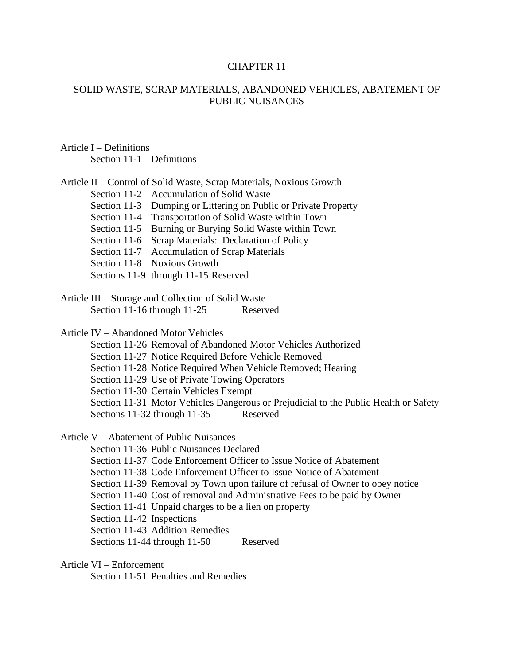#### CHAPTER 11

#### SOLID WASTE, SCRAP MATERIALS, ABANDONED VEHICLES, ABATEMENT OF PUBLIC NUISANCES

Article I – Definitions Section 11-1 Definitions

| Article II – Control of Solid Waste, Scrap Materials, Noxious Growth |  |
|----------------------------------------------------------------------|--|
| Section 11-2 Accumulation of Solid Waste                             |  |
| Section 11-3 Dumping or Littering on Public or Private Property      |  |
| Section 11-4 Transportation of Solid Waste within Town               |  |
| Section 11-5 Burning or Burying Solid Waste within Town              |  |
| Section 11-6 Scrap Materials: Declaration of Policy                  |  |
| Section 11-7 Accumulation of Scrap Materials                         |  |
| Section 11-8 Noxious Growth                                          |  |
| Sections 11-9 through 11-15 Reserved                                 |  |

Article III – Storage and Collection of Solid Waste Section 11-16 through 11-25 Reserved

Article IV – Abandoned Motor Vehicles

Section 11-26 Removal of Abandoned Motor Vehicles Authorized

Section 11-27 Notice Required Before Vehicle Removed

Section 11-28 Notice Required When Vehicle Removed; Hearing

Section 11-29 Use of Private Towing Operators

Section 11-30 Certain Vehicles Exempt

Section 11-31 Motor Vehicles Dangerous or Prejudicial to the Public Health or Safety Sections 11-32 through 11-35 Reserved

Article V – Abatement of Public Nuisances

Section 11-36 Public Nuisances Declared

Section 11-37 Code Enforcement Officer to Issue Notice of Abatement

Section 11-38 Code Enforcement Officer to Issue Notice of Abatement

Section 11-39 Removal by Town upon failure of refusal of Owner to obey notice

Section 11-40 Cost of removal and Administrative Fees to be paid by Owner

Section 11-41 Unpaid charges to be a lien on property

Section 11-42 Inspections

Section 11-43 Addition Remedies

Sections 11-44 through 11-50 Reserved

Article VI – Enforcement

Section 11-51 Penalties and Remedies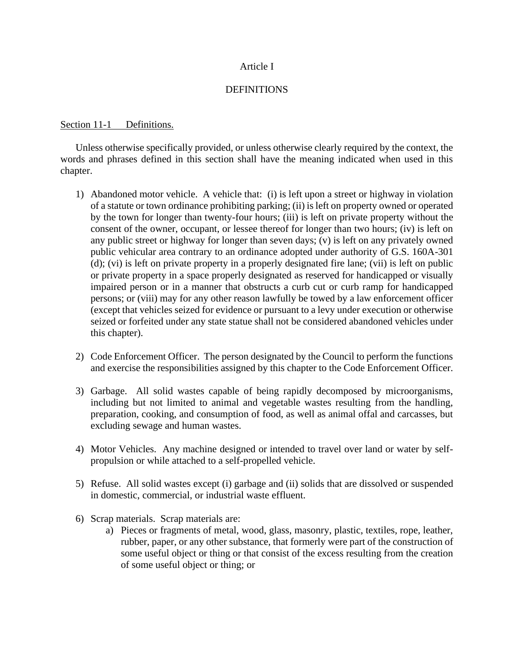## Article I

## **DEFINITIONS**

## Section 11-1 Definitions.

Unless otherwise specifically provided, or unless otherwise clearly required by the context, the words and phrases defined in this section shall have the meaning indicated when used in this chapter.

- 1) Abandoned motor vehicle. A vehicle that: (i) is left upon a street or highway in violation of a statute or town ordinance prohibiting parking; (ii) is left on property owned or operated by the town for longer than twenty-four hours; (iii) is left on private property without the consent of the owner, occupant, or lessee thereof for longer than two hours; (iv) is left on any public street or highway for longer than seven days; (v) is left on any privately owned public vehicular area contrary to an ordinance adopted under authority of G.S. 160A-301 (d); (vi) is left on private property in a properly designated fire lane; (vii) is left on public or private property in a space properly designated as reserved for handicapped or visually impaired person or in a manner that obstructs a curb cut or curb ramp for handicapped persons; or (viii) may for any other reason lawfully be towed by a law enforcement officer (except that vehicles seized for evidence or pursuant to a levy under execution or otherwise seized or forfeited under any state statue shall not be considered abandoned vehicles under this chapter).
- 2) Code Enforcement Officer. The person designated by the Council to perform the functions and exercise the responsibilities assigned by this chapter to the Code Enforcement Officer.
- 3) Garbage. All solid wastes capable of being rapidly decomposed by microorganisms, including but not limited to animal and vegetable wastes resulting from the handling, preparation, cooking, and consumption of food, as well as animal offal and carcasses, but excluding sewage and human wastes.
- 4) Motor Vehicles. Any machine designed or intended to travel over land or water by selfpropulsion or while attached to a self-propelled vehicle.
- 5) Refuse. All solid wastes except (i) garbage and (ii) solids that are dissolved or suspended in domestic, commercial, or industrial waste effluent.
- 6) Scrap materials. Scrap materials are:
	- a) Pieces or fragments of metal, wood, glass, masonry, plastic, textiles, rope, leather, rubber, paper, or any other substance, that formerly were part of the construction of some useful object or thing or that consist of the excess resulting from the creation of some useful object or thing; or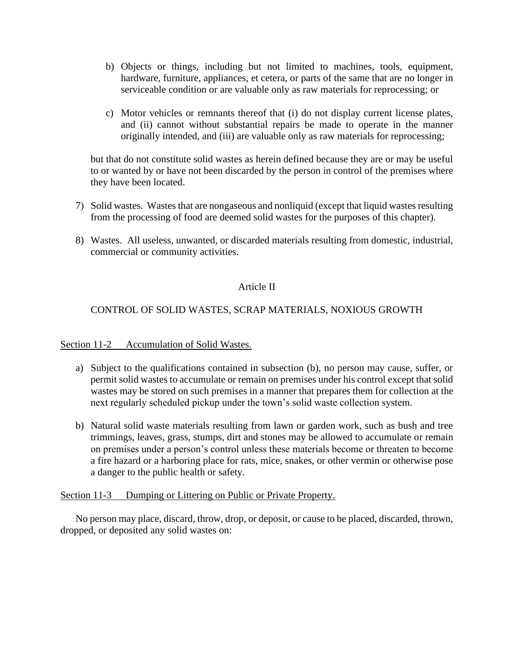- b) Objects or things, including but not limited to machines, tools, equipment, hardware, furniture, appliances, et cetera, or parts of the same that are no longer in serviceable condition or are valuable only as raw materials for reprocessing; or
- c) Motor vehicles or remnants thereof that (i) do not display current license plates, and (ii) cannot without substantial repairs be made to operate in the manner originally intended, and (iii) are valuable only as raw materials for reprocessing;

but that do not constitute solid wastes as herein defined because they are or may be useful to or wanted by or have not been discarded by the person in control of the premises where they have been located.

- 7) Solid wastes. Wastes that are nongaseous and nonliquid (except that liquid wastes resulting from the processing of food are deemed solid wastes for the purposes of this chapter).
- 8) Wastes. All useless, unwanted, or discarded materials resulting from domestic, industrial, commercial or community activities.

# Article II

# CONTROL OF SOLID WASTES, SCRAP MATERIALS, NOXIOUS GROWTH

Section 11-2 Accumulation of Solid Wastes.

- a) Subject to the qualifications contained in subsection (b), no person may cause, suffer, or permit solid wastes to accumulate or remain on premises under his control except that solid wastes may be stored on such premises in a manner that prepares them for collection at the next regularly scheduled pickup under the town's solid waste collection system.
- b) Natural solid waste materials resulting from lawn or garden work, such as bush and tree trimmings, leaves, grass, stumps, dirt and stones may be allowed to accumulate or remain on premises under a person's control unless these materials become or threaten to become a fire hazard or a harboring place for rats, mice, snakes, or other vermin or otherwise pose a danger to the public health or safety.

## Section 11-3 Dumping or Littering on Public or Private Property.

No person may place, discard, throw, drop, or deposit, or cause to be placed, discarded, thrown, dropped, or deposited any solid wastes on: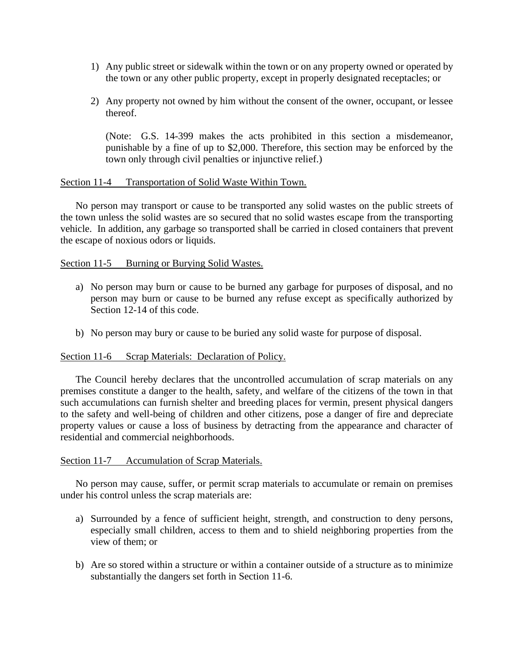- 1) Any public street or sidewalk within the town or on any property owned or operated by the town or any other public property, except in properly designated receptacles; or
- 2) Any property not owned by him without the consent of the owner, occupant, or lessee thereof.

(Note: G.S. 14-399 makes the acts prohibited in this section a misdemeanor, punishable by a fine of up to \$2,000. Therefore, this section may be enforced by the town only through civil penalties or injunctive relief.)

#### Section 11-4 Transportation of Solid Waste Within Town.

No person may transport or cause to be transported any solid wastes on the public streets of the town unless the solid wastes are so secured that no solid wastes escape from the transporting vehicle. In addition, any garbage so transported shall be carried in closed containers that prevent the escape of noxious odors or liquids.

#### Section 11-5 Burning or Burying Solid Wastes.

- a) No person may burn or cause to be burned any garbage for purposes of disposal, and no person may burn or cause to be burned any refuse except as specifically authorized by Section 12-14 of this code.
- b) No person may bury or cause to be buried any solid waste for purpose of disposal.

#### Section 11-6 Scrap Materials: Declaration of Policy.

The Council hereby declares that the uncontrolled accumulation of scrap materials on any premises constitute a danger to the health, safety, and welfare of the citizens of the town in that such accumulations can furnish shelter and breeding places for vermin, present physical dangers to the safety and well-being of children and other citizens, pose a danger of fire and depreciate property values or cause a loss of business by detracting from the appearance and character of residential and commercial neighborhoods.

#### Section 11-7 Accumulation of Scrap Materials.

No person may cause, suffer, or permit scrap materials to accumulate or remain on premises under his control unless the scrap materials are:

- a) Surrounded by a fence of sufficient height, strength, and construction to deny persons, especially small children, access to them and to shield neighboring properties from the view of them; or
- b) Are so stored within a structure or within a container outside of a structure as to minimize substantially the dangers set forth in Section 11-6.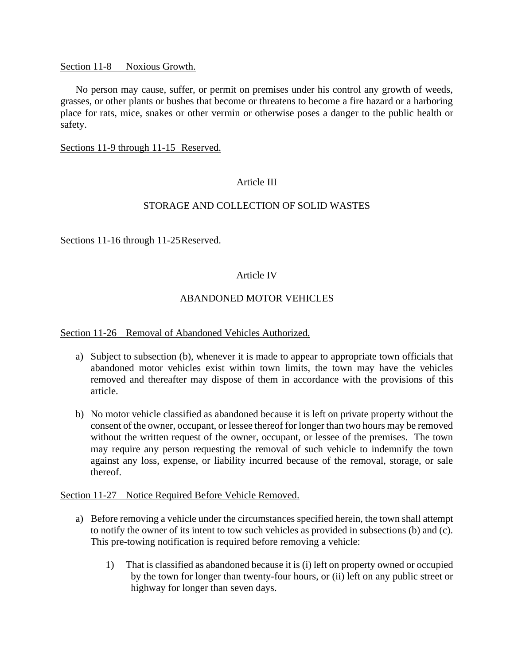#### Section 11-8 Noxious Growth.

No person may cause, suffer, or permit on premises under his control any growth of weeds, grasses, or other plants or bushes that become or threatens to become a fire hazard or a harboring place for rats, mice, snakes or other vermin or otherwise poses a danger to the public health or safety.

#### Sections 11-9 through 11-15 Reserved.

## Article III

## STORAGE AND COLLECTION OF SOLID WASTES

## Sections 11-16 through 11-25Reserved.

## Article IV

## ABANDONED MOTOR VEHICLES

#### Section 11-26 Removal of Abandoned Vehicles Authorized.

- a) Subject to subsection (b), whenever it is made to appear to appropriate town officials that abandoned motor vehicles exist within town limits, the town may have the vehicles removed and thereafter may dispose of them in accordance with the provisions of this article.
- b) No motor vehicle classified as abandoned because it is left on private property without the consent of the owner, occupant, or lessee thereof for longer than two hours may be removed without the written request of the owner, occupant, or lessee of the premises. The town may require any person requesting the removal of such vehicle to indemnify the town against any loss, expense, or liability incurred because of the removal, storage, or sale thereof.

#### Section 11-27 Notice Required Before Vehicle Removed.

- a) Before removing a vehicle under the circumstances specified herein, the town shall attempt to notify the owner of its intent to tow such vehicles as provided in subsections (b) and (c). This pre-towing notification is required before removing a vehicle:
	- 1) That is classified as abandoned because it is (i) left on property owned or occupied by the town for longer than twenty-four hours, or (ii) left on any public street or highway for longer than seven days.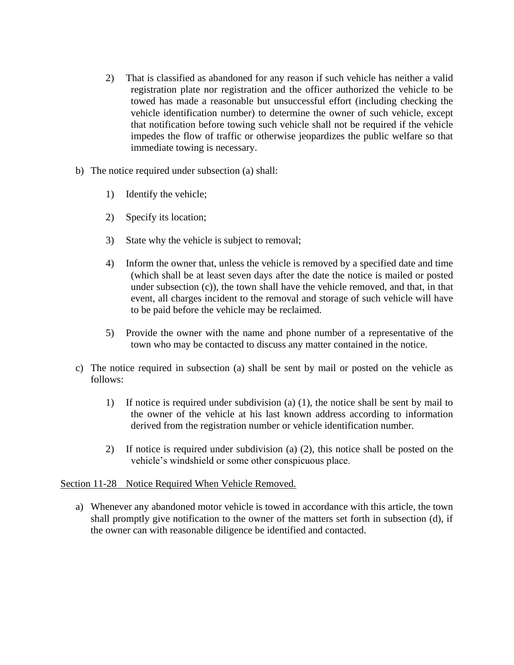- 2) That is classified as abandoned for any reason if such vehicle has neither a valid registration plate nor registration and the officer authorized the vehicle to be towed has made a reasonable but unsuccessful effort (including checking the vehicle identification number) to determine the owner of such vehicle, except that notification before towing such vehicle shall not be required if the vehicle impedes the flow of traffic or otherwise jeopardizes the public welfare so that immediate towing is necessary.
- b) The notice required under subsection (a) shall:
	- 1) Identify the vehicle;
	- 2) Specify its location;
	- 3) State why the vehicle is subject to removal;
	- 4) Inform the owner that, unless the vehicle is removed by a specified date and time (which shall be at least seven days after the date the notice is mailed or posted under subsection (c)), the town shall have the vehicle removed, and that, in that event, all charges incident to the removal and storage of such vehicle will have to be paid before the vehicle may be reclaimed.
	- 5) Provide the owner with the name and phone number of a representative of the town who may be contacted to discuss any matter contained in the notice.
- c) The notice required in subsection (a) shall be sent by mail or posted on the vehicle as follows:
	- 1) If notice is required under subdivision (a) (1), the notice shall be sent by mail to the owner of the vehicle at his last known address according to information derived from the registration number or vehicle identification number.
	- 2) If notice is required under subdivision (a) (2), this notice shall be posted on the vehicle's windshield or some other conspicuous place.

## Section 11-28 Notice Required When Vehicle Removed.

a) Whenever any abandoned motor vehicle is towed in accordance with this article, the town shall promptly give notification to the owner of the matters set forth in subsection (d), if the owner can with reasonable diligence be identified and contacted.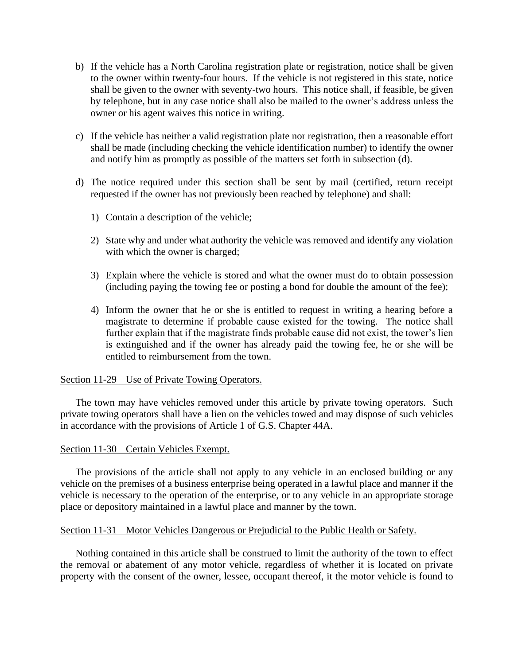- b) If the vehicle has a North Carolina registration plate or registration, notice shall be given to the owner within twenty-four hours. If the vehicle is not registered in this state, notice shall be given to the owner with seventy-two hours. This notice shall, if feasible, be given by telephone, but in any case notice shall also be mailed to the owner's address unless the owner or his agent waives this notice in writing.
- c) If the vehicle has neither a valid registration plate nor registration, then a reasonable effort shall be made (including checking the vehicle identification number) to identify the owner and notify him as promptly as possible of the matters set forth in subsection (d).
- d) The notice required under this section shall be sent by mail (certified, return receipt requested if the owner has not previously been reached by telephone) and shall:
	- 1) Contain a description of the vehicle;
	- 2) State why and under what authority the vehicle was removed and identify any violation with which the owner is charged;
	- 3) Explain where the vehicle is stored and what the owner must do to obtain possession (including paying the towing fee or posting a bond for double the amount of the fee);
	- 4) Inform the owner that he or she is entitled to request in writing a hearing before a magistrate to determine if probable cause existed for the towing. The notice shall further explain that if the magistrate finds probable cause did not exist, the tower's lien is extinguished and if the owner has already paid the towing fee, he or she will be entitled to reimbursement from the town.

## Section 11-29 Use of Private Towing Operators.

The town may have vehicles removed under this article by private towing operators. Such private towing operators shall have a lien on the vehicles towed and may dispose of such vehicles in accordance with the provisions of Article 1 of G.S. Chapter 44A.

## Section 11-30 Certain Vehicles Exempt.

The provisions of the article shall not apply to any vehicle in an enclosed building or any vehicle on the premises of a business enterprise being operated in a lawful place and manner if the vehicle is necessary to the operation of the enterprise, or to any vehicle in an appropriate storage place or depository maintained in a lawful place and manner by the town.

#### Section 11-31 Motor Vehicles Dangerous or Prejudicial to the Public Health or Safety.

Nothing contained in this article shall be construed to limit the authority of the town to effect the removal or abatement of any motor vehicle, regardless of whether it is located on private property with the consent of the owner, lessee, occupant thereof, it the motor vehicle is found to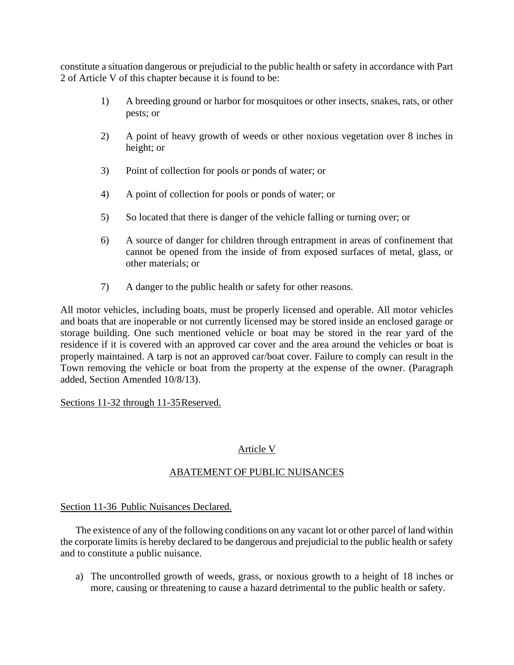constitute a situation dangerous or prejudicial to the public health or safety in accordance with Part 2 of Article V of this chapter because it is found to be:

- 1) A breeding ground or harbor for mosquitoes or other insects, snakes, rats, or other pests; or
- 2) A point of heavy growth of weeds or other noxious vegetation over 8 inches in height; or
- 3) Point of collection for pools or ponds of water; or
- 4) A point of collection for pools or ponds of water; or
- 5) So located that there is danger of the vehicle falling or turning over; or
- 6) A source of danger for children through entrapment in areas of confinement that cannot be opened from the inside of from exposed surfaces of metal, glass, or other materials; or
- 7) A danger to the public health or safety for other reasons.

All motor vehicles, including boats, must be properly licensed and operable. All motor vehicles and boats that are inoperable or not currently licensed may be stored inside an enclosed garage or storage building. One such mentioned vehicle or boat may be stored in the rear yard of the residence if it is covered with an approved car cover and the area around the vehicles or boat is properly maintained. A tarp is not an approved car/boat cover. Failure to comply can result in the Town removing the vehicle or boat from the property at the expense of the owner. (Paragraph added, Section Amended 10/8/13).

Sections 11-32 through 11-35Reserved.

# Article V

# ABATEMENT OF PUBLIC NUISANCES

## Section 11-36 Public Nuisances Declared.

The existence of any of the following conditions on any vacant lot or other parcel of land within the corporate limits is hereby declared to be dangerous and prejudicial to the public health or safety and to constitute a public nuisance.

a) The uncontrolled growth of weeds, grass, or noxious growth to a height of 18 inches or more, causing or threatening to cause a hazard detrimental to the public health or safety.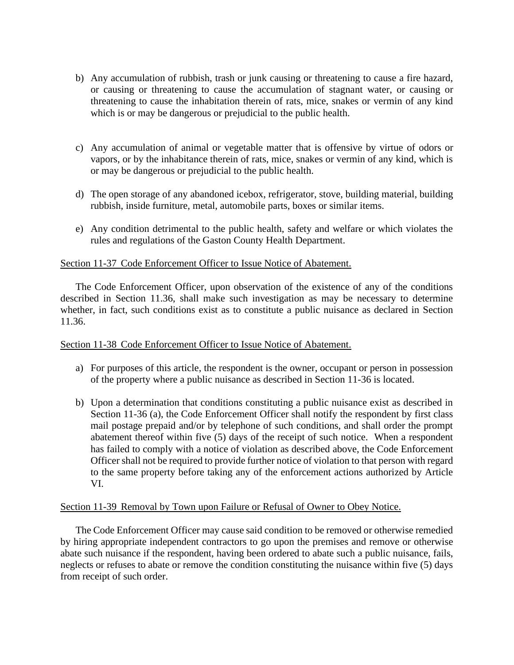- b) Any accumulation of rubbish, trash or junk causing or threatening to cause a fire hazard, or causing or threatening to cause the accumulation of stagnant water, or causing or threatening to cause the inhabitation therein of rats, mice, snakes or vermin of any kind which is or may be dangerous or prejudicial to the public health.
- c) Any accumulation of animal or vegetable matter that is offensive by virtue of odors or vapors, or by the inhabitance therein of rats, mice, snakes or vermin of any kind, which is or may be dangerous or prejudicial to the public health.
- d) The open storage of any abandoned icebox, refrigerator, stove, building material, building rubbish, inside furniture, metal, automobile parts, boxes or similar items.
- e) Any condition detrimental to the public health, safety and welfare or which violates the rules and regulations of the Gaston County Health Department.

## Section 11-37 Code Enforcement Officer to Issue Notice of Abatement.

The Code Enforcement Officer, upon observation of the existence of any of the conditions described in Section 11.36, shall make such investigation as may be necessary to determine whether, in fact, such conditions exist as to constitute a public nuisance as declared in Section 11.36.

#### Section 11-38 Code Enforcement Officer to Issue Notice of Abatement.

- a) For purposes of this article, the respondent is the owner, occupant or person in possession of the property where a public nuisance as described in Section 11-36 is located.
- b) Upon a determination that conditions constituting a public nuisance exist as described in Section 11-36 (a), the Code Enforcement Officer shall notify the respondent by first class mail postage prepaid and/or by telephone of such conditions, and shall order the prompt abatement thereof within five (5) days of the receipt of such notice. When a respondent has failed to comply with a notice of violation as described above, the Code Enforcement Officer shall not be required to provide further notice of violation to that person with regard to the same property before taking any of the enforcement actions authorized by Article VI.

#### Section 11-39 Removal by Town upon Failure or Refusal of Owner to Obey Notice.

The Code Enforcement Officer may cause said condition to be removed or otherwise remedied by hiring appropriate independent contractors to go upon the premises and remove or otherwise abate such nuisance if the respondent, having been ordered to abate such a public nuisance, fails, neglects or refuses to abate or remove the condition constituting the nuisance within five (5) days from receipt of such order.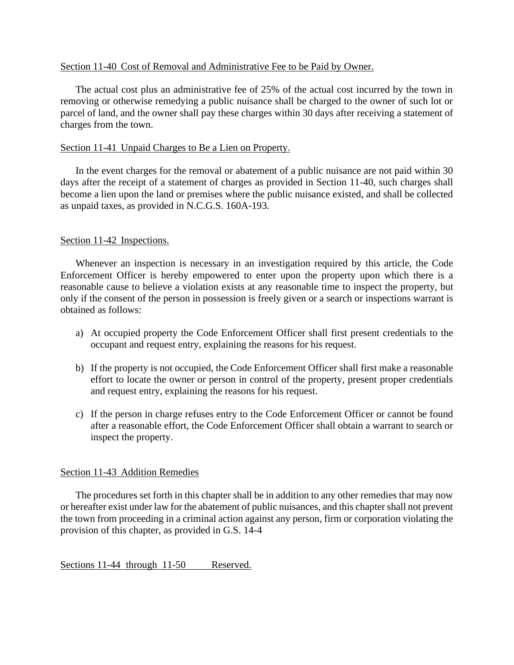#### Section 11-40 Cost of Removal and Administrative Fee to be Paid by Owner.

The actual cost plus an administrative fee of 25% of the actual cost incurred by the town in removing or otherwise remedying a public nuisance shall be charged to the owner of such lot or parcel of land, and the owner shall pay these charges within 30 days after receiving a statement of charges from the town.

#### Section 11-41 Unpaid Charges to Be a Lien on Property.

In the event charges for the removal or abatement of a public nuisance are not paid within 30 days after the receipt of a statement of charges as provided in Section 11-40, such charges shall become a lien upon the land or premises where the public nuisance existed, and shall be collected as unpaid taxes, as provided in N.C.G.S. 160A-193.

## Section 11-42 Inspections.

Whenever an inspection is necessary in an investigation required by this article, the Code Enforcement Officer is hereby empowered to enter upon the property upon which there is a reasonable cause to believe a violation exists at any reasonable time to inspect the property, but only if the consent of the person in possession is freely given or a search or inspections warrant is obtained as follows:

- a) At occupied property the Code Enforcement Officer shall first present credentials to the occupant and request entry, explaining the reasons for his request.
- b) If the property is not occupied, the Code Enforcement Officer shall first make a reasonable effort to locate the owner or person in control of the property, present proper credentials and request entry, explaining the reasons for his request.
- c) If the person in charge refuses entry to the Code Enforcement Officer or cannot be found after a reasonable effort, the Code Enforcement Officer shall obtain a warrant to search or inspect the property.

## Section 11-43 Addition Remedies

The procedures set forth in this chapter shall be in addition to any other remedies that may now or hereafter exist under law for the abatement of public nuisances, and this chapter shall not prevent the town from proceeding in a criminal action against any person, firm or corporation violating the provision of this chapter, as provided in G.S. 14-4

Sections 11-44 through 11-50 Reserved.